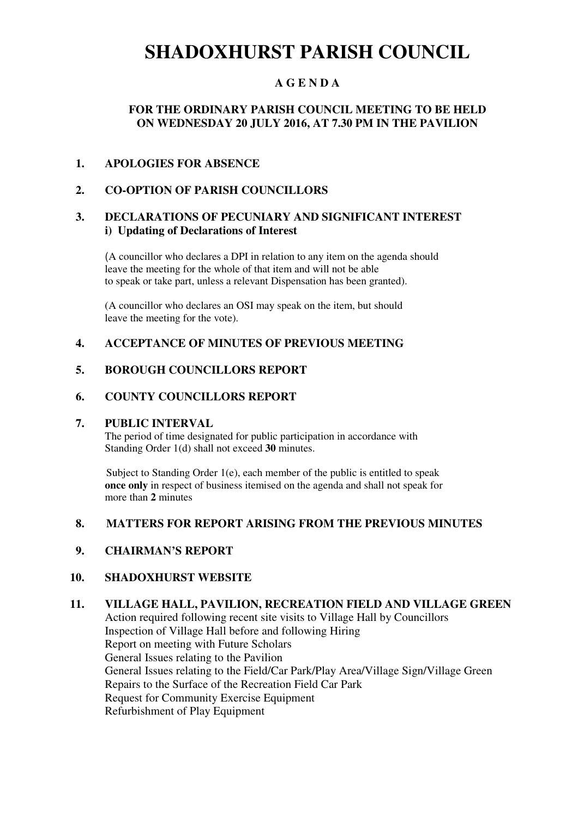# **SHADOXHURST PARISH COUNCIL**

# **A G E N D A**

# **FOR THE ORDINARY PARISH COUNCIL MEETING TO BE HELD ON WEDNESDAY 20 JULY 2016, AT 7.30 PM IN THE PAVILION**

#### **1. APOLOGIES FOR ABSENCE**

# **2. CO-OPTION OF PARISH COUNCILLORS**

### **3. DECLARATIONS OF PECUNIARY AND SIGNIFICANT INTEREST i) Updating of Declarations of Interest**

(A councillor who declares a DPI in relation to any item on the agenda should leave the meeting for the whole of that item and will not be able to speak or take part, unless a relevant Dispensation has been granted).

(A councillor who declares an OSI may speak on the item, but should leave the meeting for the vote).

#### **4. ACCEPTANCE OF MINUTES OF PREVIOUS MEETING**

#### **5. BOROUGH COUNCILLORS REPORT**

#### **6. COUNTY COUNCILLORS REPORT**

#### **7. PUBLIC INTERVAL**

The period of time designated for public participation in accordance with Standing Order 1(d) shall not exceed **30** minutes.

Subject to Standing Order 1(e), each member of the public is entitled to speak **once only** in respect of business itemised on the agenda and shall not speak for more than **2** minutes

#### **8. MATTERS FOR REPORT ARISING FROM THE PREVIOUS MINUTES**

#### **9. CHAIRMAN'S REPORT**

#### **10. SHADOXHURST WEBSITE**

# **11. VILLAGE HALL, PAVILION, RECREATION FIELD AND VILLAGE GREEN**

Action required following recent site visits to Village Hall by Councillors Inspection of Village Hall before and following Hiring Report on meeting with Future Scholars General Issues relating to the Pavilion General Issues relating to the Field/Car Park/Play Area/Village Sign/Village Green Repairs to the Surface of the Recreation Field Car Park Request for Community Exercise Equipment Refurbishment of Play Equipment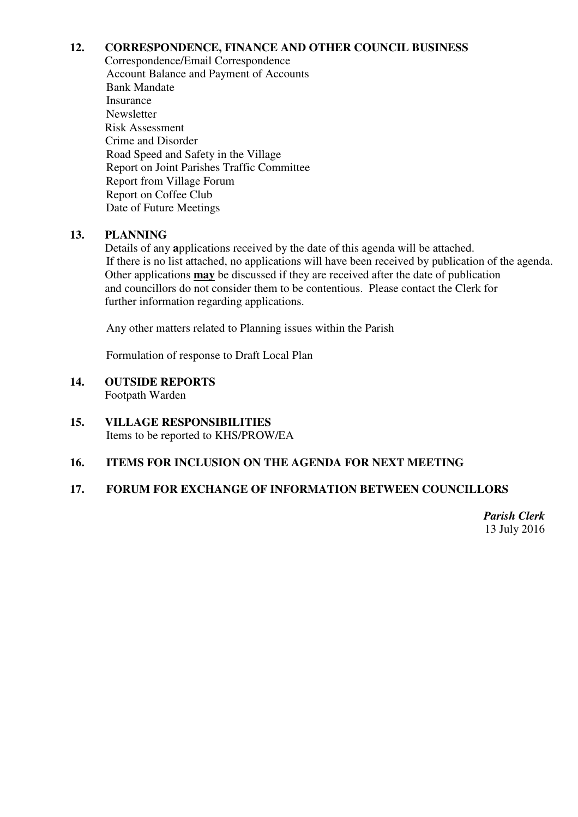# **12. CORRESPONDENCE, FINANCE AND OTHER COUNCIL BUSINESS**

Correspondence/Email Correspondence Account Balance and Payment of Accounts Bank Mandate Insurance **Newsletter**  Risk Assessment Crime and Disorder Road Speed and Safety in the Village Report on Joint Parishes Traffic Committee Report from Village Forum Report on Coffee Club Date of Future Meetings

# **13. PLANNING**

Details of any **a**pplications received by the date of this agenda will be attached. If there is no list attached, no applications will have been received by publication of the agenda. Other applications **may** be discussed if they are received after the date of publication and councillors do not consider them to be contentious. Please contact the Clerk for further information regarding applications.

Any other matters related to Planning issues within the Parish

Formulation of response to Draft Local Plan

- **14. OUTSIDE REPORTS**  Footpath Warden
- **15. VILLAGE RESPONSIBILITIES**  Items to be reported to KHS/PROW/EA

# **16. ITEMS FOR INCLUSION ON THE AGENDA FOR NEXT MEETING**

# **17. FORUM FOR EXCHANGE OF INFORMATION BETWEEN COUNCILLORS**

*Parish Clerk* 13 July 2016